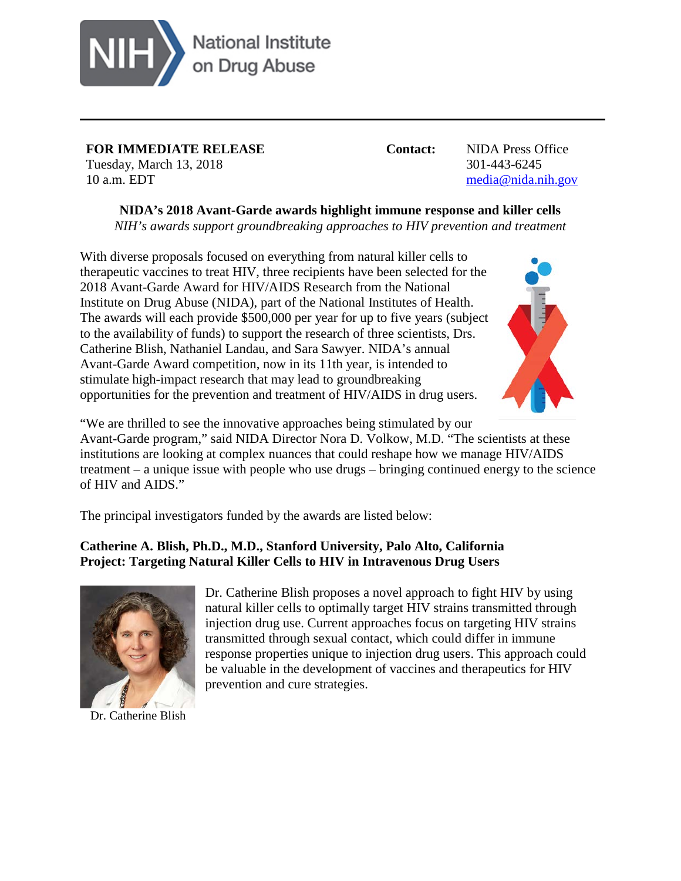

**FOR IMMEDIATE RELEASE Contact:** NIDA Press Office Tuesday, March 13, 2018 301-443-6245 10 a.m. EDT [media@nida.nih.gov](mailto:media@nida.nih.gov)

**NIDA's 2018 Avant-Garde awards highlight immune response and killer cells**

*NIH's awards support groundbreaking approaches to HIV prevention and treatment* 

With diverse proposals focused on everything from natural killer cells to therapeutic vaccines to treat HIV, three recipients have been selected for the 2018 Avant-Garde Award for HIV/AIDS Research from the National Institute on Drug Abuse (NIDA), part of the National Institutes of Health. The awards will each provide \$500,000 per year for up to five years (subject to the availability of funds) to support the research of three scientists, Drs. Catherine Blish, Nathaniel Landau, and Sara Sawyer. NIDA's annual Avant-Garde Award competition, now in its 11th year, is intended to stimulate high-impact research that may lead to groundbreaking opportunities for the prevention and treatment of HIV/AIDS in drug users.



"We are thrilled to see the innovative approaches being stimulated by our Avant-Garde program," said NIDA Director Nora D. Volkow, M.D. "The scientists at these institutions are looking at complex nuances that could reshape how we manage HIV/AIDS treatment – a unique issue with people who use drugs – bringing continued energy to the science of HIV and AIDS."

The principal investigators funded by the awards are listed below:

## **Catherine A. Blish, Ph.D., M.D., Stanford University, Palo Alto, California Project: Targeting Natural Killer Cells to HIV in Intravenous Drug Users**



Dr. Catherine Blish

Dr. Catherine Blish proposes a novel approach to fight HIV by using natural killer cells to optimally target HIV strains transmitted through injection drug use. Current approaches focus on targeting HIV strains transmitted through sexual contact, which could differ in immune response properties unique to injection drug users. This approach could be valuable in the development of vaccines and therapeutics for HIV prevention and cure strategies.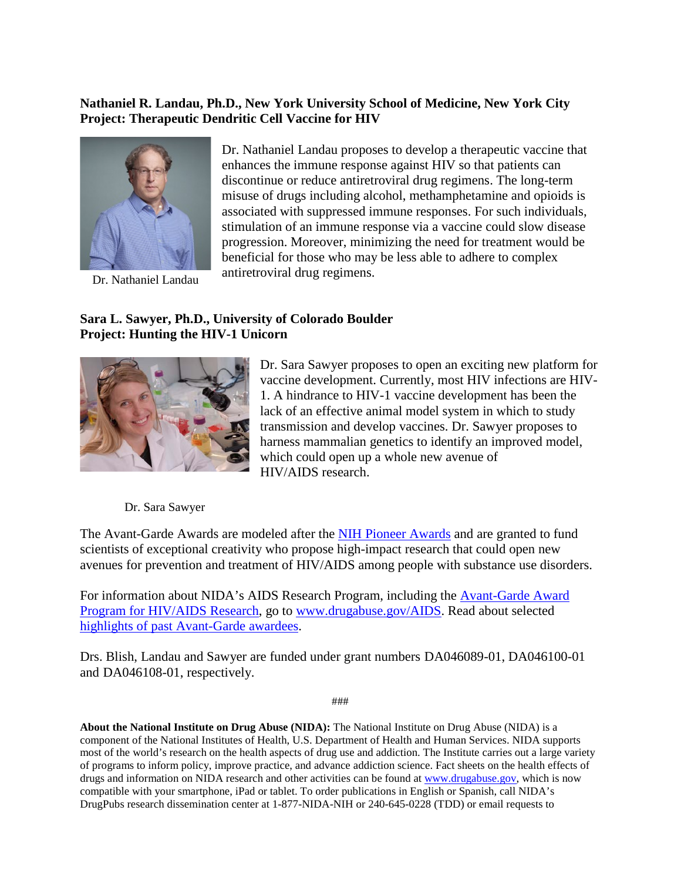## **Nathaniel R. Landau, Ph.D., New York University School of Medicine, New York City Project: Therapeutic Dendritic Cell Vaccine for HIV**



Dr. Nathaniel Landau

Dr. Nathaniel Landau proposes to develop a therapeutic vaccine that enhances the immune response against HIV so that patients can discontinue or reduce antiretroviral drug regimens. The long-term misuse of drugs including alcohol, methamphetamine and opioids is associated with suppressed immune responses. For such individuals, stimulation of an immune response via a vaccine could slow disease progression. Moreover, minimizing the need for treatment would be beneficial for those who may be less able to adhere to complex antiretroviral drug regimens.

## **Sara L. Sawyer, Ph.D., University of Colorado Boulder Project: Hunting the HIV-1 Unicorn**



Dr. Sara Sawyer proposes to open an exciting new platform for vaccine development. Currently, most HIV infections are HIV-1. A hindrance to HIV-1 vaccine development has been the lack of an effective animal model system in which to study transmission and develop vaccines. Dr. Sawyer proposes to harness mammalian genetics to identify an improved model, which could open up a whole new avenue of HIV/AIDS research.

Dr. Sara Sawyer

The Avant-Garde Awards are modeled after the [NIH Pioneer Awards](https://commonfund.nih.gov/pioneer/index) and are granted to fund scientists of exceptional creativity who propose high-impact research that could open new avenues for prevention and treatment of HIV/AIDS among people with substance use disorders.

For information about NIDA's AIDS Research Program, including the [Avant-Garde Award](http://www.drugabuse.gov/about-nida/organization/offices/office-nida-director-od/aids-research-program-arp/avant-garde-award-hivaids-research)  [Program for HIV/AIDS Research,](http://www.drugabuse.gov/about-nida/organization/offices/office-nida-director-od/aids-research-program-arp/avant-garde-award-hivaids-research) go to [www.drugabuse.gov/AIDS.](http://www.drugabuse.gov/AIDS) Read about selected [highlights of past Avant-Garde awardees.](http://www.drugabuse.gov/offices/office-nida-director-od/aids-research-program-arp/avant-garde-award-program-hivaids-drug-use-research/highlights-past-avant-garde-awardees)

Drs. Blish, Landau and Sawyer are funded under grant numbers DA046089-01, DA046100-01 and DA046108-01, respectively.

###

**About the National Institute on Drug Abuse (NIDA):** The National Institute on Drug Abuse (NIDA) is a component of the National Institutes of Health, U.S. Department of Health and Human Services. NIDA supports most of the world's research on the health aspects of drug use and addiction. The Institute carries out a large variety of programs to inform policy, improve practice, and advance addiction science. Fact sheets on the health effects of drugs and information on NIDA research and other activities can be found a[t www.drugabuse.gov,](https://www.drugabuse.gov/in-english) which is now compatible with your smartphone, iPad or tablet. To order publications in English or Spanish, call NIDA's DrugPubs research dissemination center at 1-877-NIDA-NIH or 240-645-0228 (TDD) or email requests to